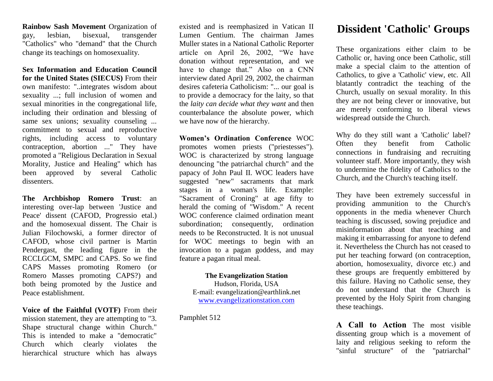**Rainbow Sash Movement** Organization of gay, lesbian, bisexual, transgender "Catholics" who "demand" that the Church change its teachings on homosexuality.

**Sex Information and Education Council for the United States (SIECUS)** From their own manifesto: "..integrates wisdom about sexuality ...; full inclusion of women and sexual minorities in the congregational life, including their ordination and blessing of same sex unions; sexuality counseling ... commitment to sexual and reproductive rights, including access to voluntary contraception, abortion ..." They have promoted a "Religious Declaration in Sexual Morality, Justice and Healing" which has been approved by several Catholic dissenters.

**[The Archbishop Romero Trust](http://catholicactionuk.blogspot.com/2008/11/dossier-archbishop-romero-trust.html)**: an interesting over-lap between 'Justice and Peace' dissent (CAFOD, Progressio etal.) and the homosexual dissent. The Chair is Julian Filochowski, a former director of CAFOD, whose civil partner is Martin Pendergast, the leading figure in the RCCLGCM, SMPC and CAPS. So we find CAPS Masses promoting Romero (or Romero Masses promoting CAPS?) and both being promoted by the Justice and Peace establishment.

**Voice of the Faithful (VOTF)** From their mission statement, they are attempting to "3. Shape structural change within Church." This is intended to make a "democratic" Church which clearly violates the hierarchical structure which has always

existed and is reemphasized in Vatican II Lumen Gentium. The chairman James Muller states in a National Catholic Reporter article on April 26, 2002, "We have donation without representation, and we have to change that." Also on a CNN interview dated April 29, 2002, the chairman desires cafeteria Catholicism: "... our goal is to provide a democracy for the laity, so that the *laity can decide what they want* and then counterbalance the absolute power, which we have now of the hierarchy.

**Women's Ordination Conference** WOC promotes women priests ("priestesses"). WOC is characterized by strong language denouncing "the patriarchal church" and the papacy of John Paul II. WOC leaders have suggested "new" sacraments that mark stages in a woman's life. Example: "Sacrament of Croning" at age fifty to herald the coming of "Wisdom." A recent WOC conference claimed ordination meant subordination; consequently, ordination needs to be Reconstructed. It is not unusual for WOC meetings to begin with an invocation to a pagan goddess, and may feature a pagan ritual meal.

## **The Evangelization Station** Hudson, Florida, USA

E-mail: evangelization@earthlink.net [www.evangelizationstation.com](http://www.pjpiisoe.org/)

Pamphlet 512

## **[Dissident 'Catholic' Groups](http://catholicactionuk.blogspot.com/2008/07/dissident-catholic-groups.html)**

These organizations either claim to be Catholic or, having once been Catholic, still make a special claim to the attention of Catholics, to give a 'Catholic' view, etc. All blatantly contradict the teaching of the Church, usually on sexual morality. In this they are not being clever or innovative, but are merely conforming to liberal views widespread outside the Church.

Why do they still want a 'Catholic' label? Often they benefit from Catholic connections in fundraising and recruiting volunteer staff. More importantly, they wish to undermine the fidelity of Catholics to the Church, and the Church's teaching itself.

They have been extremely successful in providing ammunition to the Church's opponents in the media whenever Church teaching is discussed, sowing prejudice and misinformation about that teaching and making it embarrassing for anyone to defend it. Nevertheless the Church has not ceased to put her teaching forward (on contraception, abortion, homosexuality, divorce etc.) and these groups are frequently embittered by this failure. Having no Catholic sense, they do not understand that the Church is prevented by the Holy Spirit from changing these teachings.

**A Call to Action** The most visible dissenting group which is a movement of laity and religious seeking to reform the "sinful structure" of the "patriarchal"